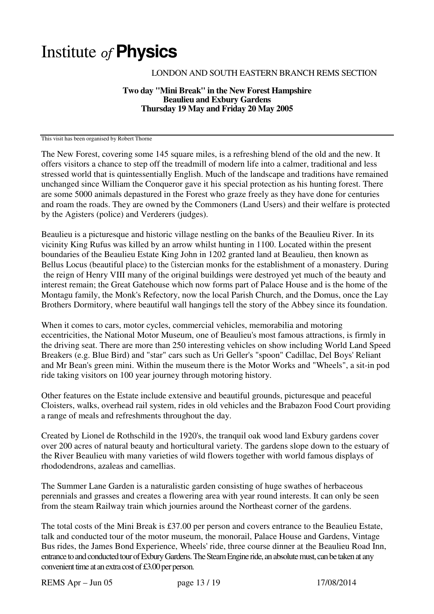## Institute of **Physics**

## LONDON AND SOUTH EASTERN BRANCH REMS SECTION

## **Two day "Mini Break" in the New Forest Hampshire Beaulieu and Exbury Gardens Thursday 19 May and Friday 20 May 2005**

This visit has been organised by Robert Thorne

The New Forest, covering some 145 square miles, is a refreshing blend of the old and the new. It offers visitors a chance to step off the treadmill of modern life into a calmer, traditional and less stressed world that is quintessentially English. Much of the landscape and traditions have remained unchanged since William the Conqueror gave it his special protection as his hunting forest. There are some 5000 animals depastured in the Forest who graze freely as they have done for centuries and roam the roads. They are owned by the Commoners (Land Users) and their welfare is protected by the Agisters (police) and Verderers (judges).

Beaulieu is a picturesque and historic village nestling on the banks of the Beaulieu River. In its vicinity King Rufus was killed by an arrow whilst hunting in 1100. Located within the present boundaries of the Beaulieu Estate King John in 1202 granted land at Beaulieu, then known as Bellus Locus (beautiful place) to the Cistercian monks for the establishment of a monastery. During the reign of Henry VIII many of the original buildings were destroyed yet much of the beauty and interest remain; the Great Gatehouse which now forms part of Palace House and is the home of the Montagu family, the Monk's Refectory, now the local Parish Church, and the Domus, once the Lay Brothers Dormitory, where beautiful wall hangings tell the story of the Abbey since its foundation.

When it comes to cars, motor cycles, commercial vehicles, memorabilia and motoring eccentricities, the National Motor Museum, one of Beaulieu's most famous attractions, is firmly in the driving seat. There are more than 250 interesting vehicles on show including World Land Speed Breakers (e.g. Blue Bird) and "star" cars such as Uri Geller's "spoon" Cadillac, Del Boys' Reliant and Mr Bean's green mini. Within the museum there is the Motor Works and "Wheels", a sit-in pod ride taking visitors on 100 year journey through motoring history.

Other features on the Estate include extensive and beautiful grounds, picturesque and peaceful Cloisters, walks, overhead rail system, rides in old vehicles and the Brabazon Food Court providing a range of meals and refreshments throughout the day.

Created by Lionel de Rothschild in the 1920's, the tranquil oak wood land Exbury gardens cover over 200 acres of natural beauty and horticultural variety. The gardens slope down to the estuary of the River Beaulieu with many varieties of wild flowers together with world famous displays of rhododendrons, azaleas and camellias.

The Summer Lane Garden is a naturalistic garden consisting of huge swathes of herbaceous perennials and grasses and creates a flowering area with year round interests. It can only be seen from the steam Railway train which journies around the Northeast corner of the gardens.

The total costs of the Mini Break is £37.00 per person and covers entrance to the Beaulieu Estate, talk and conducted tour of the motor museum, the monorail, Palace House and Gardens, Vintage Bus rides, the James Bond Experience, Wheels' ride, three course dinner at the Beaulieu Road Inn, entrance to and conducted tour of Exbury Gardens. The Steam Engine ride, an absolute must, can be taken at any convenient time at an extra cost of £3.00 per person.